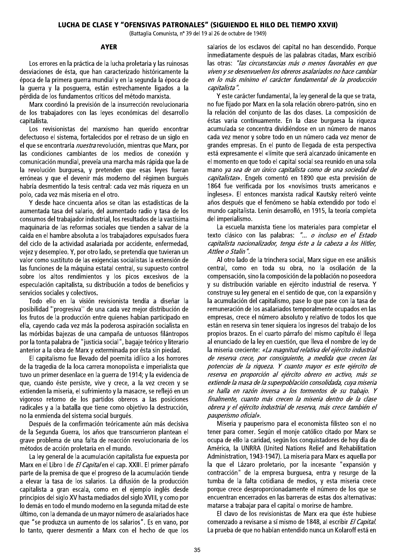## LUCHA DE CLASE Y "OFENSIVAS PATRONALES" (SIGUIENDO EL HILO DEL TIEMPO XXVII)

(Battaglia Comunista, nº 39 del 19 al 26 de octubre de 1949)

## **AYER**

Los errores en la práctica de la lucha proletaria y las ruinosas desviaciones de ésta, que han caracterizado históricamente la época de la primera querra mundial y en la segunda la época de la querra y la posquerra, están estrechamente ligados a la pérdida de los fundamentos críticos del método marxista.

Marx coordinó la previsión de la insurrección revolucionaria de los trabajadores con las leyes económicas del desarrollo capitalista.

Los revisionistas del marxismo han querido encontrar defectuoso el sistema, fortalecidos por el retraso de un siglo en el que se encontraría *nuestra* revolución, mientras que Marx, por las condiciones cambiantes de los medios de conexión y comunicación mundial, preveía una marcha más rápida que la de la revolución burguesa, y pretenden que esas leyes fueran erróneas y que el devenir más moderno del régimen burgués habría desmentido la tesis central: cada vez más rigueza en un polo, cada vez más miseria en el otro.

Y desde hace cincuenta años se citan las estadísticas de la aumentada tasa del salario, del aumentado radio y tasa de los consumos del trabajador industrial, los resultados de la vastísima maquinaria de las reformas sociales que tienden a salvar de la caída en el hambre absoluta a los trabajadores expulsados fuera del ciclo de la actividad asalariada por accidente, enfermedad, vejez y desempleo. Y, por otro lado, se pretendía que tuvieran un valor como sustituto de las exigencias socialistas la extensión de las funciones de la máquina estatal central, su supuesto control sobre los altos rendimientos y los picos excesivos de la especulación capitalista, su distribución a todos de beneficios y servicios sociales y colectivos.

Todo ello en la visión revisionista tendía a diseñar la posibilidad "progresiva" de una cada vez mejor distribución de los frutos de la producción entre quienes habían participado en ella, cayendo cada vez más la poderosa aspiración socialista en las mórbidas bajezas de una campaña de untuosos filántropos por la tonta palabra de "justicia social", bagaje teórico y literario anterior a la obra de Marx y exterminada por ésta sin piedad.

El capitalismo fue llevado del poemita idílico a los horrores de la tragedia de la loca carrera monopolista e imperialista que tuvo un primer desenlace en la querra de 1914; y la evidencia de que, cuando éste persiste, vive y crece, a la vez crecen y se extienden la miseria, el sufrimiento y la masacre, se reflejó en un vigoroso retorno de los partidos obreros a las posiciones radicales y a la batalla que tiene como objetivo la destrucción, no la enmienda del sistema social burqués.

Después de la confirmación teóricamente aún más decisiva de la Segunda Guerra, los años que transcurrieron plantean el grave problema de una falta de reacción revolucionaria de los métodos de acción proletaria en el mundo.

La ley general de la acumulación capitalista fue expuesta por Marx en el Libro I de El Capital en el cap. XXIII. El primer párrafo parte de la premisa de que el progreso de la acumulación tiende a elevar la tasa de los salarios. La difusión de la producción capitalista a gran escala, como en el ejemplo inglés desde principios del siglo XV hasta mediados del siglo XVIII, y como por lo demás en todo el mundo moderno en la segunda mitad de este último, con la demanda de un mayor número de asalariados hace que "se produzca un aumento de los salarios". Es en vano, por lo tanto, querer desmentir a Marx con el hecho de que los salarios de los esclavos del capital no han descendido. Porque inmediatamente después de las palabras citadas, Marx escribió las otras: "las circunstancias más o menos favorables en que viven y se desenvuelven los obreros asalariados no hace cambiar en lo más mínimo el carácter fundamental de la producción capitalista".

Y este carácter fundamental, la ley general de la que se trata, no fue fijado por Marx en la sola relación obrero-patrón, sino en la relación del conjunto de las dos clases. La composición de éstas varia continuamente. En la clase burquesa la riqueza acumulada se concentra dividiéndose en un número de manos cada vez menor y sobre todo en un número cada vez menor de grandes empresas. En el punto de llegada de esta perspectiva está expresamente el «límite que será alcanzado únicamente en el momento en que todo el capital social sea reunido en una sola mano ya sea de un único capitalista como de una sociedad de capitalistas». Engels comentó en 1890 que esta previsión de 1864 fue verificada por los «novísimos trusts americanos e ingleses». El entonces marxista radical Kautsky reiteró veinte años después que el fenómeno se había extendido por todo el mundo capitalista. Lenin desarrolló, en 1915, la teoría completa del imperialismo.

La escuela marxista tiene los materiales para completar el texto clásico con las palabras: "... o incluso en el Estado capitalista nacionalizador, tenga éste a la cabeza a los Hitler, Attlee o Stalin".

Al otro lado de la trinchera social, Marx sique en ese análisis central, como en toda su obra, no la oscilación de la compensación, sino la composición de la población no poseedora y su distribución variable en ejército industrial de reserva. Y construye su ley general en el sentido de que, con la expansión y la acumulación del capitalismo, pase lo que pase con la tasa de remuneración de los asalariados temporalmente ocupados en las empresas, crece el número absoluto y relativo de todos los que están en reserva sin tener siguiera los ingresos del trabajo de los propios brazos. En el cuarto párrafo del mismo capítulo él llega al enunciado de la ley en cuestión, que lleva el nombre de ley de la miseria creciente: «La magnitud relativa del ejército industrial de reserva crece, por consiguiente, a medida que crecen las potencias de la riqueza. Y cuanto mayor es este ejército de reserva en proporción al ejército obrero en activo, más se extiende la masa de la superpoblación consolidada, cuya miseria se halla en razón inversa a los tormentos de su trabajo. Y finalmente, cuanto más crecen la miseria dentro de la clase obrera y el ejército industrial de reserva, más crece también el pauperismo oficial».

Miseria y pauperismo para el economista filisteo son el no tener para comer. Según el monje católico citado por Marx se ocupa de ello la caridad, según los conquistadores de hoy día de América, la UNRRA (United Nations Relief and Rehabilitation Administration, 1943-1947). La miseria para Marx es aquella por la que el Lázaro proletario, por la incesante "expansión y contracción" de la empresa burguesa, entra y resurge de la tumba de la falta cotidiana de medios, y esta miseria crece porque crece desproporcionadamente el número de los que se encuentran encerrados en las barreras de estas dos alternativas: matarse a trabajar para el capital o morirse de hambre.

El clavo de los revisionistas de Marx era que éste hubiese comenzado a revisarse a sí mismo de 1848, al escribir El Capital. La prueba de que no habían entendido nunca un Kolaroff está en